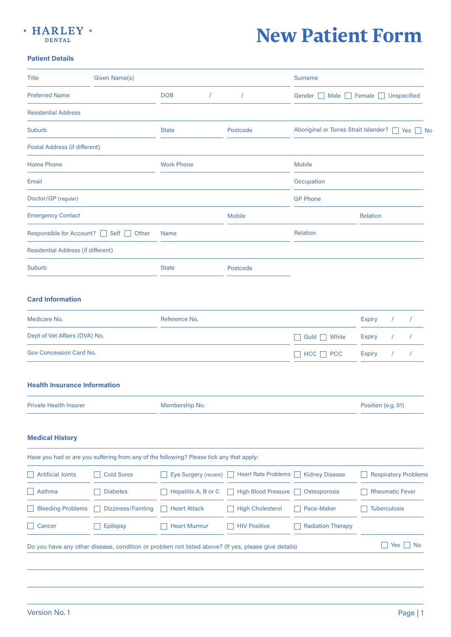

## **New Patient Form**

## **Patient Details**

| <b>Title</b>                              | <b>Given Name(s)</b>      |                                                                                          |                            | <b>Surname</b>                          |                                       |  |
|-------------------------------------------|---------------------------|------------------------------------------------------------------------------------------|----------------------------|-----------------------------------------|---------------------------------------|--|
| <b>Preferred Name</b>                     |                           | <b>DOB</b><br>$\prime$                                                                   | $\sqrt{2}$                 | Unspecified<br>Gender<br>Male<br>Female |                                       |  |
| <b>Residential Address</b>                |                           |                                                                                          |                            |                                         |                                       |  |
| <b>Suburb</b>                             |                           | <b>State</b>                                                                             | Postcode                   | Aboriginal or Torres Strait Islander?   | $ $ Yes<br><b>No</b>                  |  |
| <b>Postal Address (if different)</b>      |                           |                                                                                          |                            |                                         |                                       |  |
| <b>Home Phone</b><br><b>Work Phone</b>    |                           |                                                                                          |                            | <b>Mobile</b>                           |                                       |  |
| Email                                     |                           |                                                                                          |                            | Occupation                              |                                       |  |
| Doctor/GP (regular)                       |                           |                                                                                          |                            | <b>GP Phone</b>                         |                                       |  |
| <b>Emergency Contact</b>                  |                           |                                                                                          | <b>Mobile</b>              |                                         | <b>Relation</b>                       |  |
| <b>Responsible for Account?</b>           | Self<br>Other             | <b>Name</b>                                                                              |                            | Relation                                |                                       |  |
| <b>Residential Address (if different)</b> |                           |                                                                                          |                            |                                         |                                       |  |
| <b>Suburb</b>                             |                           | <b>State</b>                                                                             | Postcode                   |                                         |                                       |  |
|                                           |                           |                                                                                          |                            |                                         |                                       |  |
| <b>Card Information</b>                   |                           |                                                                                          |                            |                                         |                                       |  |
| Medicare No.                              |                           | Reference No.                                                                            |                            |                                         | <b>Expiry</b>                         |  |
| Dept of Vet Affairs (DVA) No.             |                           |                                                                                          |                            | White<br>Gold                           | <b>Expiry</b>                         |  |
| <b>Gov Concession Card No.</b>            |                           |                                                                                          |                            | <b>HCC</b><br><b>PCC</b>                | <b>Expiry</b><br>$\prime$<br>$\prime$ |  |
|                                           |                           |                                                                                          |                            |                                         |                                       |  |
| <b>Health Insurance Information</b>       |                           |                                                                                          |                            |                                         |                                       |  |
| <b>Private Health Insurer</b>             |                           | Membership No.                                                                           |                            |                                         | Position (e.g. 01)                    |  |
|                                           |                           |                                                                                          |                            |                                         |                                       |  |
| <b>Medical History</b>                    |                           |                                                                                          |                            |                                         |                                       |  |
|                                           |                           | Have you had or are you suffering from any of the following? Please tick any that apply: |                            |                                         |                                       |  |
| <b>Artificial Joints</b>                  | <b>Cold Sores</b>         | Eye Surgery (recent)                                                                     | <b>Heart Rate Problems</b> | <b>Kidney Disease</b>                   | <b>Respiratory Problems</b>           |  |
| Asthma                                    | <b>Diabetes</b>           | Hepatitis A, B or C                                                                      | <b>High Blood Pressure</b> | Osteoporosis                            | <b>Rheumatic Fever</b>                |  |
|                                           | <b>Dizziness/Fainting</b> | <b>Heart Attack</b>                                                                      | <b>High Cholesterol</b>    | Pace-Maker                              | <b>Tuberculosis</b>                   |  |
| <b>Bleeding Problems</b>                  |                           |                                                                                          |                            |                                         |                                       |  |
| Cancer                                    | <b>Epilepsy</b>           | <b>Heart Murmur</b>                                                                      | <b>HIV Positive</b>        | <b>Radiation Therapy</b>                |                                       |  |